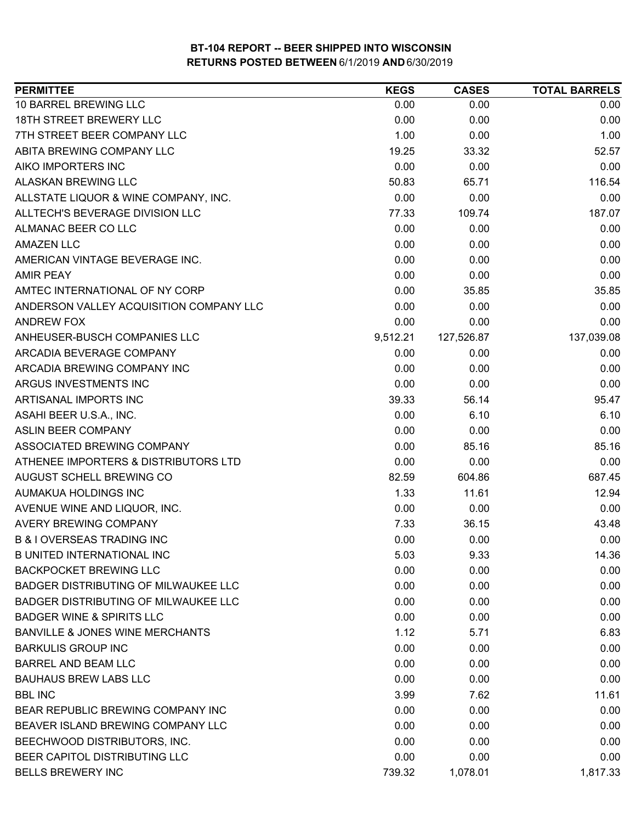| <b>PERMITTEE</b>                            | <b>KEGS</b> | <b>CASES</b> | <b>TOTAL BARRELS</b> |
|---------------------------------------------|-------------|--------------|----------------------|
| 10 BARREL BREWING LLC                       | 0.00        | 0.00         | 0.00                 |
| 18TH STREET BREWERY LLC                     | 0.00        | 0.00         | 0.00                 |
| 7TH STREET BEER COMPANY LLC                 | 1.00        | 0.00         | 1.00                 |
| ABITA BREWING COMPANY LLC                   | 19.25       | 33.32        | 52.57                |
| AIKO IMPORTERS INC                          | 0.00        | 0.00         | 0.00                 |
| ALASKAN BREWING LLC                         | 50.83       | 65.71        | 116.54               |
| ALLSTATE LIQUOR & WINE COMPANY, INC.        | 0.00        | 0.00         | 0.00                 |
| ALLTECH'S BEVERAGE DIVISION LLC             | 77.33       | 109.74       | 187.07               |
| ALMANAC BEER CO LLC                         | 0.00        | 0.00         | 0.00                 |
| <b>AMAZEN LLC</b>                           | 0.00        | 0.00         | 0.00                 |
| AMERICAN VINTAGE BEVERAGE INC.              | 0.00        | 0.00         | 0.00                 |
| <b>AMIR PEAY</b>                            | 0.00        | 0.00         | 0.00                 |
| AMTEC INTERNATIONAL OF NY CORP              | 0.00        | 35.85        | 35.85                |
| ANDERSON VALLEY ACQUISITION COMPANY LLC     | 0.00        | 0.00         | 0.00                 |
| <b>ANDREW FOX</b>                           | 0.00        | 0.00         | 0.00                 |
| ANHEUSER-BUSCH COMPANIES LLC                | 9,512.21    | 127,526.87   | 137,039.08           |
| ARCADIA BEVERAGE COMPANY                    | 0.00        | 0.00         | 0.00                 |
| ARCADIA BREWING COMPANY INC                 | 0.00        | 0.00         | 0.00                 |
| ARGUS INVESTMENTS INC                       | 0.00        | 0.00         | 0.00                 |
| ARTISANAL IMPORTS INC                       | 39.33       | 56.14        | 95.47                |
| ASAHI BEER U.S.A., INC.                     | 0.00        | 6.10         | 6.10                 |
| <b>ASLIN BEER COMPANY</b>                   | 0.00        | 0.00         | 0.00                 |
| ASSOCIATED BREWING COMPANY                  | 0.00        | 85.16        | 85.16                |
| ATHENEE IMPORTERS & DISTRIBUTORS LTD        | 0.00        | 0.00         | 0.00                 |
| AUGUST SCHELL BREWING CO                    | 82.59       | 604.86       | 687.45               |
| AUMAKUA HOLDINGS INC                        | 1.33        | 11.61        | 12.94                |
| AVENUE WINE AND LIQUOR, INC.                | 0.00        | 0.00         | 0.00                 |
| <b>AVERY BREWING COMPANY</b>                | 7.33        | 36.15        | 43.48                |
| <b>B &amp; I OVERSEAS TRADING INC</b>       | 0.00        | 0.00         | 0.00                 |
| <b>B UNITED INTERNATIONAL INC</b>           | 5.03        | 9.33         | 14.36                |
| <b>BACKPOCKET BREWING LLC</b>               | 0.00        | 0.00         | 0.00                 |
| <b>BADGER DISTRIBUTING OF MILWAUKEE LLC</b> | 0.00        | 0.00         | 0.00                 |
| <b>BADGER DISTRIBUTING OF MILWAUKEE LLC</b> | 0.00        | 0.00         | 0.00                 |
| <b>BADGER WINE &amp; SPIRITS LLC</b>        | 0.00        | 0.00         | 0.00                 |
| <b>BANVILLE &amp; JONES WINE MERCHANTS</b>  | 1.12        | 5.71         | 6.83                 |
| <b>BARKULIS GROUP INC</b>                   | 0.00        | 0.00         | 0.00                 |
| <b>BARREL AND BEAM LLC</b>                  | 0.00        | 0.00         | 0.00                 |
| <b>BAUHAUS BREW LABS LLC</b>                | 0.00        | 0.00         | 0.00                 |
| <b>BBL INC</b>                              | 3.99        | 7.62         | 11.61                |
| BEAR REPUBLIC BREWING COMPANY INC           | 0.00        | 0.00         | 0.00                 |
| BEAVER ISLAND BREWING COMPANY LLC           | 0.00        | 0.00         | 0.00                 |
| BEECHWOOD DISTRIBUTORS, INC.                | 0.00        | 0.00         | 0.00                 |
| BEER CAPITOL DISTRIBUTING LLC               | 0.00        | 0.00         | 0.00                 |
| <b>BELLS BREWERY INC</b>                    | 739.32      | 1,078.01     | 1,817.33             |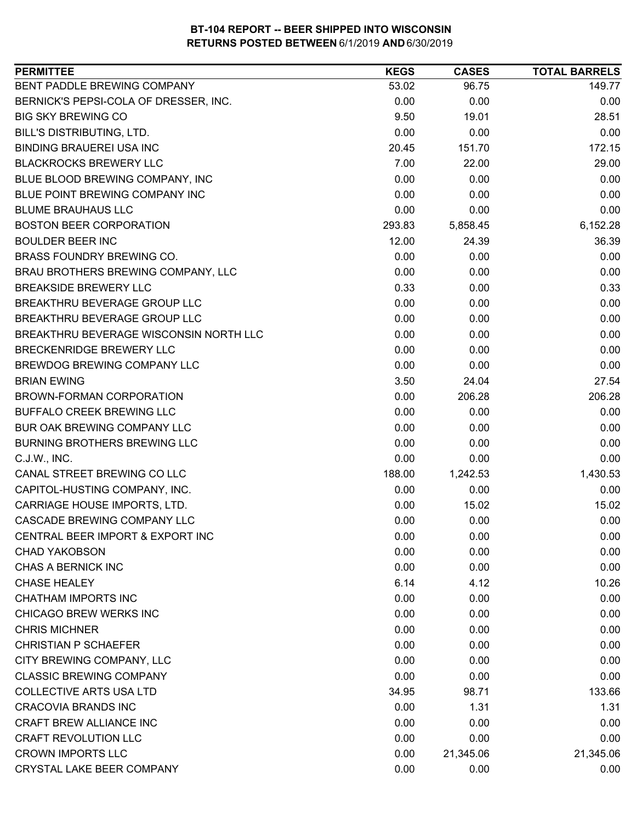| BENT PADDLE BREWING COMPANY<br>53.02<br>96.75<br>149.77<br>BERNICK'S PEPSI-COLA OF DRESSER, INC.<br>0.00<br>0.00<br>0.00<br><b>BIG SKY BREWING CO</b><br>9.50<br>28.51<br>19.01<br><b>BILL'S DISTRIBUTING, LTD.</b><br>0.00<br>0.00<br>0.00<br><b>BINDING BRAUEREI USA INC</b><br>20.45<br>151.70<br>172.15<br><b>BLACKROCKS BREWERY LLC</b><br>7.00<br>22.00<br>29.00<br>0.00<br>BLUE BLOOD BREWING COMPANY, INC<br>0.00<br>0.00<br>BLUE POINT BREWING COMPANY INC<br>0.00<br>0.00<br>0.00<br>0.00<br><b>BLUME BRAUHAUS LLC</b><br>0.00<br>0.00<br><b>BOSTON BEER CORPORATION</b><br>6,152.28<br>293.83<br>5,858.45<br><b>BOULDER BEER INC</b><br>12.00<br>36.39<br>24.39<br>0.00<br>0.00<br><b>BRASS FOUNDRY BREWING CO.</b><br>0.00<br>BRAU BROTHERS BREWING COMPANY, LLC<br>0.00<br>0.00<br>0.00<br><b>BREAKSIDE BREWERY LLC</b><br>0.33<br>0.33<br>0.00<br>BREAKTHRU BEVERAGE GROUP LLC<br>0.00<br>0.00<br>0.00<br>BREAKTHRU BEVERAGE GROUP LLC<br>0.00<br>0.00<br>0.00<br>0.00<br>BREAKTHRU BEVERAGE WISCONSIN NORTH LLC<br>0.00<br>0.00<br>BRECKENRIDGE BREWERY LLC<br>0.00<br>0.00<br>0.00<br>BREWDOG BREWING COMPANY LLC<br>0.00<br>0.00<br>0.00<br>27.54<br><b>BRIAN EWING</b><br>3.50<br>24.04<br>0.00<br>206.28<br>206.28<br>BROWN-FORMAN CORPORATION<br><b>BUFFALO CREEK BREWING LLC</b><br>0.00<br>0.00<br>0.00<br>BUR OAK BREWING COMPANY LLC<br>0.00<br>0.00<br>0.00<br>0.00<br><b>BURNING BROTHERS BREWING LLC</b><br>0.00<br>0.00<br>0.00<br>0.00<br>0.00<br>C.J.W., INC.<br>188.00<br>1,430.53<br>CANAL STREET BREWING CO LLC<br>1,242.53<br>CAPITOL-HUSTING COMPANY, INC.<br>0.00<br>0.00<br>0.00<br>CARRIAGE HOUSE IMPORTS, LTD.<br>0.00<br>15.02<br>15.02<br>CASCADE BREWING COMPANY LLC<br>0.00<br>0.00<br>0.00<br>CENTRAL BEER IMPORT & EXPORT INC<br>0.00<br>0.00<br>0.00<br>0.00<br>0.00<br><b>CHAD YAKOBSON</b><br>0.00<br><b>CHAS A BERNICK INC</b><br>0.00<br>0.00<br>0.00<br><b>CHASE HEALEY</b><br>6.14<br>10.26<br>4.12<br><b>CHATHAM IMPORTS INC</b><br>0.00<br>0.00<br>0.00<br>CHICAGO BREW WERKS INC<br>0.00<br>0.00<br>0.00<br><b>CHRIS MICHNER</b><br>0.00<br>0.00<br>0.00<br><b>CHRISTIAN P SCHAEFER</b><br>0.00<br>0.00<br>0.00<br>CITY BREWING COMPANY, LLC<br>0.00<br>0.00<br>0.00<br><b>CLASSIC BREWING COMPANY</b><br>0.00<br>0.00<br>0.00<br><b>COLLECTIVE ARTS USA LTD</b><br>133.66<br>34.95<br>98.71<br><b>CRACOVIA BRANDS INC</b><br>0.00<br>1.31<br>1.31<br>CRAFT BREW ALLIANCE INC<br>0.00<br>0.00<br>0.00<br><b>CRAFT REVOLUTION LLC</b><br>0.00<br>0.00<br>0.00<br><b>CROWN IMPORTS LLC</b><br>0.00<br>21,345.06<br>21,345.06 | <b>PERMITTEE</b>          | <b>KEGS</b> | <b>CASES</b> | <b>TOTAL BARRELS</b> |
|-----------------------------------------------------------------------------------------------------------------------------------------------------------------------------------------------------------------------------------------------------------------------------------------------------------------------------------------------------------------------------------------------------------------------------------------------------------------------------------------------------------------------------------------------------------------------------------------------------------------------------------------------------------------------------------------------------------------------------------------------------------------------------------------------------------------------------------------------------------------------------------------------------------------------------------------------------------------------------------------------------------------------------------------------------------------------------------------------------------------------------------------------------------------------------------------------------------------------------------------------------------------------------------------------------------------------------------------------------------------------------------------------------------------------------------------------------------------------------------------------------------------------------------------------------------------------------------------------------------------------------------------------------------------------------------------------------------------------------------------------------------------------------------------------------------------------------------------------------------------------------------------------------------------------------------------------------------------------------------------------------------------------------------------------------------------------------------------------------------------------------------------------------------------------------------------------------------------------------------------------------------------------------------------------------------------------------------------------------------------------------------------------------------------------------------------------------------------------------------------------------------------------------------------------------------------------------------|---------------------------|-------------|--------------|----------------------|
|                                                                                                                                                                                                                                                                                                                                                                                                                                                                                                                                                                                                                                                                                                                                                                                                                                                                                                                                                                                                                                                                                                                                                                                                                                                                                                                                                                                                                                                                                                                                                                                                                                                                                                                                                                                                                                                                                                                                                                                                                                                                                                                                                                                                                                                                                                                                                                                                                                                                                                                                                                                   |                           |             |              |                      |
|                                                                                                                                                                                                                                                                                                                                                                                                                                                                                                                                                                                                                                                                                                                                                                                                                                                                                                                                                                                                                                                                                                                                                                                                                                                                                                                                                                                                                                                                                                                                                                                                                                                                                                                                                                                                                                                                                                                                                                                                                                                                                                                                                                                                                                                                                                                                                                                                                                                                                                                                                                                   |                           |             |              |                      |
|                                                                                                                                                                                                                                                                                                                                                                                                                                                                                                                                                                                                                                                                                                                                                                                                                                                                                                                                                                                                                                                                                                                                                                                                                                                                                                                                                                                                                                                                                                                                                                                                                                                                                                                                                                                                                                                                                                                                                                                                                                                                                                                                                                                                                                                                                                                                                                                                                                                                                                                                                                                   |                           |             |              |                      |
|                                                                                                                                                                                                                                                                                                                                                                                                                                                                                                                                                                                                                                                                                                                                                                                                                                                                                                                                                                                                                                                                                                                                                                                                                                                                                                                                                                                                                                                                                                                                                                                                                                                                                                                                                                                                                                                                                                                                                                                                                                                                                                                                                                                                                                                                                                                                                                                                                                                                                                                                                                                   |                           |             |              |                      |
|                                                                                                                                                                                                                                                                                                                                                                                                                                                                                                                                                                                                                                                                                                                                                                                                                                                                                                                                                                                                                                                                                                                                                                                                                                                                                                                                                                                                                                                                                                                                                                                                                                                                                                                                                                                                                                                                                                                                                                                                                                                                                                                                                                                                                                                                                                                                                                                                                                                                                                                                                                                   |                           |             |              |                      |
|                                                                                                                                                                                                                                                                                                                                                                                                                                                                                                                                                                                                                                                                                                                                                                                                                                                                                                                                                                                                                                                                                                                                                                                                                                                                                                                                                                                                                                                                                                                                                                                                                                                                                                                                                                                                                                                                                                                                                                                                                                                                                                                                                                                                                                                                                                                                                                                                                                                                                                                                                                                   |                           |             |              |                      |
|                                                                                                                                                                                                                                                                                                                                                                                                                                                                                                                                                                                                                                                                                                                                                                                                                                                                                                                                                                                                                                                                                                                                                                                                                                                                                                                                                                                                                                                                                                                                                                                                                                                                                                                                                                                                                                                                                                                                                                                                                                                                                                                                                                                                                                                                                                                                                                                                                                                                                                                                                                                   |                           |             |              |                      |
|                                                                                                                                                                                                                                                                                                                                                                                                                                                                                                                                                                                                                                                                                                                                                                                                                                                                                                                                                                                                                                                                                                                                                                                                                                                                                                                                                                                                                                                                                                                                                                                                                                                                                                                                                                                                                                                                                                                                                                                                                                                                                                                                                                                                                                                                                                                                                                                                                                                                                                                                                                                   |                           |             |              |                      |
|                                                                                                                                                                                                                                                                                                                                                                                                                                                                                                                                                                                                                                                                                                                                                                                                                                                                                                                                                                                                                                                                                                                                                                                                                                                                                                                                                                                                                                                                                                                                                                                                                                                                                                                                                                                                                                                                                                                                                                                                                                                                                                                                                                                                                                                                                                                                                                                                                                                                                                                                                                                   |                           |             |              |                      |
|                                                                                                                                                                                                                                                                                                                                                                                                                                                                                                                                                                                                                                                                                                                                                                                                                                                                                                                                                                                                                                                                                                                                                                                                                                                                                                                                                                                                                                                                                                                                                                                                                                                                                                                                                                                                                                                                                                                                                                                                                                                                                                                                                                                                                                                                                                                                                                                                                                                                                                                                                                                   |                           |             |              |                      |
|                                                                                                                                                                                                                                                                                                                                                                                                                                                                                                                                                                                                                                                                                                                                                                                                                                                                                                                                                                                                                                                                                                                                                                                                                                                                                                                                                                                                                                                                                                                                                                                                                                                                                                                                                                                                                                                                                                                                                                                                                                                                                                                                                                                                                                                                                                                                                                                                                                                                                                                                                                                   |                           |             |              |                      |
|                                                                                                                                                                                                                                                                                                                                                                                                                                                                                                                                                                                                                                                                                                                                                                                                                                                                                                                                                                                                                                                                                                                                                                                                                                                                                                                                                                                                                                                                                                                                                                                                                                                                                                                                                                                                                                                                                                                                                                                                                                                                                                                                                                                                                                                                                                                                                                                                                                                                                                                                                                                   |                           |             |              |                      |
|                                                                                                                                                                                                                                                                                                                                                                                                                                                                                                                                                                                                                                                                                                                                                                                                                                                                                                                                                                                                                                                                                                                                                                                                                                                                                                                                                                                                                                                                                                                                                                                                                                                                                                                                                                                                                                                                                                                                                                                                                                                                                                                                                                                                                                                                                                                                                                                                                                                                                                                                                                                   |                           |             |              |                      |
|                                                                                                                                                                                                                                                                                                                                                                                                                                                                                                                                                                                                                                                                                                                                                                                                                                                                                                                                                                                                                                                                                                                                                                                                                                                                                                                                                                                                                                                                                                                                                                                                                                                                                                                                                                                                                                                                                                                                                                                                                                                                                                                                                                                                                                                                                                                                                                                                                                                                                                                                                                                   |                           |             |              |                      |
|                                                                                                                                                                                                                                                                                                                                                                                                                                                                                                                                                                                                                                                                                                                                                                                                                                                                                                                                                                                                                                                                                                                                                                                                                                                                                                                                                                                                                                                                                                                                                                                                                                                                                                                                                                                                                                                                                                                                                                                                                                                                                                                                                                                                                                                                                                                                                                                                                                                                                                                                                                                   |                           |             |              |                      |
|                                                                                                                                                                                                                                                                                                                                                                                                                                                                                                                                                                                                                                                                                                                                                                                                                                                                                                                                                                                                                                                                                                                                                                                                                                                                                                                                                                                                                                                                                                                                                                                                                                                                                                                                                                                                                                                                                                                                                                                                                                                                                                                                                                                                                                                                                                                                                                                                                                                                                                                                                                                   |                           |             |              |                      |
|                                                                                                                                                                                                                                                                                                                                                                                                                                                                                                                                                                                                                                                                                                                                                                                                                                                                                                                                                                                                                                                                                                                                                                                                                                                                                                                                                                                                                                                                                                                                                                                                                                                                                                                                                                                                                                                                                                                                                                                                                                                                                                                                                                                                                                                                                                                                                                                                                                                                                                                                                                                   |                           |             |              |                      |
|                                                                                                                                                                                                                                                                                                                                                                                                                                                                                                                                                                                                                                                                                                                                                                                                                                                                                                                                                                                                                                                                                                                                                                                                                                                                                                                                                                                                                                                                                                                                                                                                                                                                                                                                                                                                                                                                                                                                                                                                                                                                                                                                                                                                                                                                                                                                                                                                                                                                                                                                                                                   |                           |             |              |                      |
|                                                                                                                                                                                                                                                                                                                                                                                                                                                                                                                                                                                                                                                                                                                                                                                                                                                                                                                                                                                                                                                                                                                                                                                                                                                                                                                                                                                                                                                                                                                                                                                                                                                                                                                                                                                                                                                                                                                                                                                                                                                                                                                                                                                                                                                                                                                                                                                                                                                                                                                                                                                   |                           |             |              |                      |
|                                                                                                                                                                                                                                                                                                                                                                                                                                                                                                                                                                                                                                                                                                                                                                                                                                                                                                                                                                                                                                                                                                                                                                                                                                                                                                                                                                                                                                                                                                                                                                                                                                                                                                                                                                                                                                                                                                                                                                                                                                                                                                                                                                                                                                                                                                                                                                                                                                                                                                                                                                                   |                           |             |              |                      |
|                                                                                                                                                                                                                                                                                                                                                                                                                                                                                                                                                                                                                                                                                                                                                                                                                                                                                                                                                                                                                                                                                                                                                                                                                                                                                                                                                                                                                                                                                                                                                                                                                                                                                                                                                                                                                                                                                                                                                                                                                                                                                                                                                                                                                                                                                                                                                                                                                                                                                                                                                                                   |                           |             |              |                      |
|                                                                                                                                                                                                                                                                                                                                                                                                                                                                                                                                                                                                                                                                                                                                                                                                                                                                                                                                                                                                                                                                                                                                                                                                                                                                                                                                                                                                                                                                                                                                                                                                                                                                                                                                                                                                                                                                                                                                                                                                                                                                                                                                                                                                                                                                                                                                                                                                                                                                                                                                                                                   |                           |             |              |                      |
|                                                                                                                                                                                                                                                                                                                                                                                                                                                                                                                                                                                                                                                                                                                                                                                                                                                                                                                                                                                                                                                                                                                                                                                                                                                                                                                                                                                                                                                                                                                                                                                                                                                                                                                                                                                                                                                                                                                                                                                                                                                                                                                                                                                                                                                                                                                                                                                                                                                                                                                                                                                   |                           |             |              |                      |
|                                                                                                                                                                                                                                                                                                                                                                                                                                                                                                                                                                                                                                                                                                                                                                                                                                                                                                                                                                                                                                                                                                                                                                                                                                                                                                                                                                                                                                                                                                                                                                                                                                                                                                                                                                                                                                                                                                                                                                                                                                                                                                                                                                                                                                                                                                                                                                                                                                                                                                                                                                                   |                           |             |              |                      |
|                                                                                                                                                                                                                                                                                                                                                                                                                                                                                                                                                                                                                                                                                                                                                                                                                                                                                                                                                                                                                                                                                                                                                                                                                                                                                                                                                                                                                                                                                                                                                                                                                                                                                                                                                                                                                                                                                                                                                                                                                                                                                                                                                                                                                                                                                                                                                                                                                                                                                                                                                                                   |                           |             |              |                      |
|                                                                                                                                                                                                                                                                                                                                                                                                                                                                                                                                                                                                                                                                                                                                                                                                                                                                                                                                                                                                                                                                                                                                                                                                                                                                                                                                                                                                                                                                                                                                                                                                                                                                                                                                                                                                                                                                                                                                                                                                                                                                                                                                                                                                                                                                                                                                                                                                                                                                                                                                                                                   |                           |             |              |                      |
|                                                                                                                                                                                                                                                                                                                                                                                                                                                                                                                                                                                                                                                                                                                                                                                                                                                                                                                                                                                                                                                                                                                                                                                                                                                                                                                                                                                                                                                                                                                                                                                                                                                                                                                                                                                                                                                                                                                                                                                                                                                                                                                                                                                                                                                                                                                                                                                                                                                                                                                                                                                   |                           |             |              |                      |
|                                                                                                                                                                                                                                                                                                                                                                                                                                                                                                                                                                                                                                                                                                                                                                                                                                                                                                                                                                                                                                                                                                                                                                                                                                                                                                                                                                                                                                                                                                                                                                                                                                                                                                                                                                                                                                                                                                                                                                                                                                                                                                                                                                                                                                                                                                                                                                                                                                                                                                                                                                                   |                           |             |              |                      |
|                                                                                                                                                                                                                                                                                                                                                                                                                                                                                                                                                                                                                                                                                                                                                                                                                                                                                                                                                                                                                                                                                                                                                                                                                                                                                                                                                                                                                                                                                                                                                                                                                                                                                                                                                                                                                                                                                                                                                                                                                                                                                                                                                                                                                                                                                                                                                                                                                                                                                                                                                                                   |                           |             |              |                      |
|                                                                                                                                                                                                                                                                                                                                                                                                                                                                                                                                                                                                                                                                                                                                                                                                                                                                                                                                                                                                                                                                                                                                                                                                                                                                                                                                                                                                                                                                                                                                                                                                                                                                                                                                                                                                                                                                                                                                                                                                                                                                                                                                                                                                                                                                                                                                                                                                                                                                                                                                                                                   |                           |             |              |                      |
|                                                                                                                                                                                                                                                                                                                                                                                                                                                                                                                                                                                                                                                                                                                                                                                                                                                                                                                                                                                                                                                                                                                                                                                                                                                                                                                                                                                                                                                                                                                                                                                                                                                                                                                                                                                                                                                                                                                                                                                                                                                                                                                                                                                                                                                                                                                                                                                                                                                                                                                                                                                   |                           |             |              |                      |
|                                                                                                                                                                                                                                                                                                                                                                                                                                                                                                                                                                                                                                                                                                                                                                                                                                                                                                                                                                                                                                                                                                                                                                                                                                                                                                                                                                                                                                                                                                                                                                                                                                                                                                                                                                                                                                                                                                                                                                                                                                                                                                                                                                                                                                                                                                                                                                                                                                                                                                                                                                                   |                           |             |              |                      |
|                                                                                                                                                                                                                                                                                                                                                                                                                                                                                                                                                                                                                                                                                                                                                                                                                                                                                                                                                                                                                                                                                                                                                                                                                                                                                                                                                                                                                                                                                                                                                                                                                                                                                                                                                                                                                                                                                                                                                                                                                                                                                                                                                                                                                                                                                                                                                                                                                                                                                                                                                                                   |                           |             |              |                      |
|                                                                                                                                                                                                                                                                                                                                                                                                                                                                                                                                                                                                                                                                                                                                                                                                                                                                                                                                                                                                                                                                                                                                                                                                                                                                                                                                                                                                                                                                                                                                                                                                                                                                                                                                                                                                                                                                                                                                                                                                                                                                                                                                                                                                                                                                                                                                                                                                                                                                                                                                                                                   |                           |             |              |                      |
|                                                                                                                                                                                                                                                                                                                                                                                                                                                                                                                                                                                                                                                                                                                                                                                                                                                                                                                                                                                                                                                                                                                                                                                                                                                                                                                                                                                                                                                                                                                                                                                                                                                                                                                                                                                                                                                                                                                                                                                                                                                                                                                                                                                                                                                                                                                                                                                                                                                                                                                                                                                   |                           |             |              |                      |
|                                                                                                                                                                                                                                                                                                                                                                                                                                                                                                                                                                                                                                                                                                                                                                                                                                                                                                                                                                                                                                                                                                                                                                                                                                                                                                                                                                                                                                                                                                                                                                                                                                                                                                                                                                                                                                                                                                                                                                                                                                                                                                                                                                                                                                                                                                                                                                                                                                                                                                                                                                                   |                           |             |              |                      |
|                                                                                                                                                                                                                                                                                                                                                                                                                                                                                                                                                                                                                                                                                                                                                                                                                                                                                                                                                                                                                                                                                                                                                                                                                                                                                                                                                                                                                                                                                                                                                                                                                                                                                                                                                                                                                                                                                                                                                                                                                                                                                                                                                                                                                                                                                                                                                                                                                                                                                                                                                                                   |                           |             |              |                      |
|                                                                                                                                                                                                                                                                                                                                                                                                                                                                                                                                                                                                                                                                                                                                                                                                                                                                                                                                                                                                                                                                                                                                                                                                                                                                                                                                                                                                                                                                                                                                                                                                                                                                                                                                                                                                                                                                                                                                                                                                                                                                                                                                                                                                                                                                                                                                                                                                                                                                                                                                                                                   |                           |             |              |                      |
|                                                                                                                                                                                                                                                                                                                                                                                                                                                                                                                                                                                                                                                                                                                                                                                                                                                                                                                                                                                                                                                                                                                                                                                                                                                                                                                                                                                                                                                                                                                                                                                                                                                                                                                                                                                                                                                                                                                                                                                                                                                                                                                                                                                                                                                                                                                                                                                                                                                                                                                                                                                   |                           |             |              |                      |
|                                                                                                                                                                                                                                                                                                                                                                                                                                                                                                                                                                                                                                                                                                                                                                                                                                                                                                                                                                                                                                                                                                                                                                                                                                                                                                                                                                                                                                                                                                                                                                                                                                                                                                                                                                                                                                                                                                                                                                                                                                                                                                                                                                                                                                                                                                                                                                                                                                                                                                                                                                                   |                           |             |              |                      |
|                                                                                                                                                                                                                                                                                                                                                                                                                                                                                                                                                                                                                                                                                                                                                                                                                                                                                                                                                                                                                                                                                                                                                                                                                                                                                                                                                                                                                                                                                                                                                                                                                                                                                                                                                                                                                                                                                                                                                                                                                                                                                                                                                                                                                                                                                                                                                                                                                                                                                                                                                                                   |                           |             |              |                      |
|                                                                                                                                                                                                                                                                                                                                                                                                                                                                                                                                                                                                                                                                                                                                                                                                                                                                                                                                                                                                                                                                                                                                                                                                                                                                                                                                                                                                                                                                                                                                                                                                                                                                                                                                                                                                                                                                                                                                                                                                                                                                                                                                                                                                                                                                                                                                                                                                                                                                                                                                                                                   |                           |             |              |                      |
|                                                                                                                                                                                                                                                                                                                                                                                                                                                                                                                                                                                                                                                                                                                                                                                                                                                                                                                                                                                                                                                                                                                                                                                                                                                                                                                                                                                                                                                                                                                                                                                                                                                                                                                                                                                                                                                                                                                                                                                                                                                                                                                                                                                                                                                                                                                                                                                                                                                                                                                                                                                   |                           |             |              |                      |
|                                                                                                                                                                                                                                                                                                                                                                                                                                                                                                                                                                                                                                                                                                                                                                                                                                                                                                                                                                                                                                                                                                                                                                                                                                                                                                                                                                                                                                                                                                                                                                                                                                                                                                                                                                                                                                                                                                                                                                                                                                                                                                                                                                                                                                                                                                                                                                                                                                                                                                                                                                                   |                           |             |              |                      |
|                                                                                                                                                                                                                                                                                                                                                                                                                                                                                                                                                                                                                                                                                                                                                                                                                                                                                                                                                                                                                                                                                                                                                                                                                                                                                                                                                                                                                                                                                                                                                                                                                                                                                                                                                                                                                                                                                                                                                                                                                                                                                                                                                                                                                                                                                                                                                                                                                                                                                                                                                                                   | CRYSTAL LAKE BEER COMPANY | 0.00        | 0.00         | 0.00                 |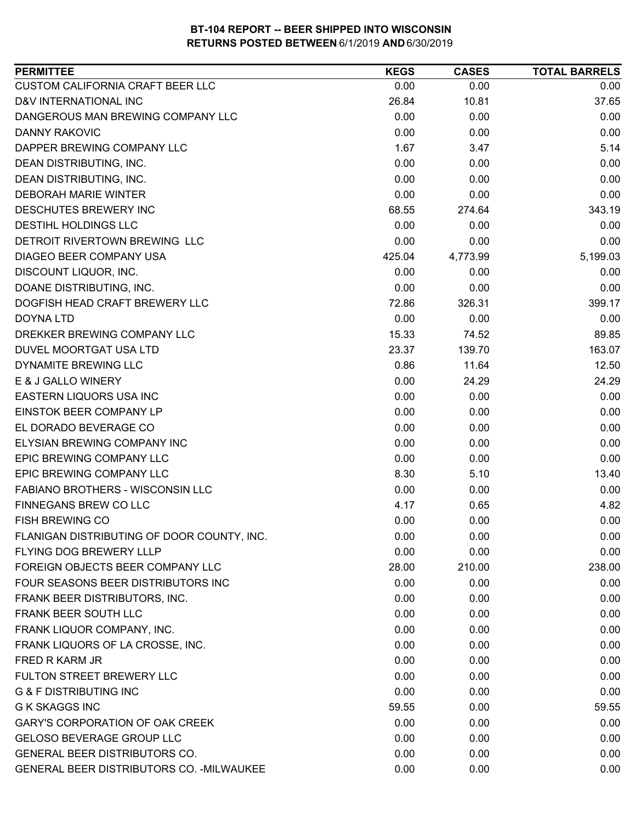| <b>PERMITTEE</b>                           | <b>KEGS</b> | <b>CASES</b> | <b>TOTAL BARRELS</b> |
|--------------------------------------------|-------------|--------------|----------------------|
| CUSTOM CALIFORNIA CRAFT BEER LLC           | 0.00        | 0.00         | 0.00                 |
| D&V INTERNATIONAL INC                      | 26.84       | 10.81        | 37.65                |
| DANGEROUS MAN BREWING COMPANY LLC          | 0.00        | 0.00         | 0.00                 |
| <b>DANNY RAKOVIC</b>                       | 0.00        | 0.00         | 0.00                 |
| DAPPER BREWING COMPANY LLC                 | 1.67        | 3.47         | 5.14                 |
| DEAN DISTRIBUTING, INC.                    | 0.00        | 0.00         | 0.00                 |
| DEAN DISTRIBUTING, INC.                    | 0.00        | 0.00         | 0.00                 |
| <b>DEBORAH MARIE WINTER</b>                | 0.00        | 0.00         | 0.00                 |
| DESCHUTES BREWERY INC                      | 68.55       | 274.64       | 343.19               |
| DESTIHL HOLDINGS LLC                       | 0.00        | 0.00         | 0.00                 |
| DETROIT RIVERTOWN BREWING LLC              | 0.00        | 0.00         | 0.00                 |
| DIAGEO BEER COMPANY USA                    | 425.04      | 4,773.99     | 5,199.03             |
| DISCOUNT LIQUOR, INC.                      | 0.00        | 0.00         | 0.00                 |
| DOANE DISTRIBUTING, INC.                   | 0.00        | 0.00         | 0.00                 |
| DOGFISH HEAD CRAFT BREWERY LLC             | 72.86       | 326.31       | 399.17               |
| DOYNA LTD                                  | 0.00        | 0.00         | 0.00                 |
| DREKKER BREWING COMPANY LLC                | 15.33       | 74.52        | 89.85                |
| DUVEL MOORTGAT USA LTD                     | 23.37       | 139.70       | 163.07               |
| DYNAMITE BREWING LLC                       | 0.86        | 11.64        | 12.50                |
| E & J GALLO WINERY                         | 0.00        | 24.29        | 24.29                |
| EASTERN LIQUORS USA INC                    | 0.00        | 0.00         | 0.00                 |
| EINSTOK BEER COMPANY LP                    | 0.00        | 0.00         | 0.00                 |
| EL DORADO BEVERAGE CO                      | 0.00        | 0.00         | 0.00                 |
| ELYSIAN BREWING COMPANY INC                | 0.00        | 0.00         | 0.00                 |
| EPIC BREWING COMPANY LLC                   | 0.00        | 0.00         | 0.00                 |
| EPIC BREWING COMPANY LLC                   | 8.30        | 5.10         | 13.40                |
| FABIANO BROTHERS - WISCONSIN LLC           | 0.00        | 0.00         | 0.00                 |
| <b>FINNEGANS BREW CO LLC</b>               | 4.17        | 0.65         | 4.82                 |
| <b>FISH BREWING CO</b>                     | 0.00        | 0.00         | 0.00                 |
| FLANIGAN DISTRIBUTING OF DOOR COUNTY, INC. | 0.00        | 0.00         | 0.00                 |
| FLYING DOG BREWERY LLLP                    | 0.00        | 0.00         | 0.00                 |
| FOREIGN OBJECTS BEER COMPANY LLC           | 28.00       | 210.00       | 238.00               |
| FOUR SEASONS BEER DISTRIBUTORS INC         | 0.00        | 0.00         | 0.00                 |
| FRANK BEER DISTRIBUTORS, INC.              | 0.00        | 0.00         | 0.00                 |
| FRANK BEER SOUTH LLC                       | 0.00        | 0.00         | 0.00                 |
| FRANK LIQUOR COMPANY, INC.                 | 0.00        | 0.00         | 0.00                 |
| FRANK LIQUORS OF LA CROSSE, INC.           | 0.00        | 0.00         | 0.00                 |
| FRED R KARM JR                             | 0.00        | 0.00         | 0.00                 |
| FULTON STREET BREWERY LLC                  | 0.00        | 0.00         | 0.00                 |
| <b>G &amp; F DISTRIBUTING INC</b>          | 0.00        | 0.00         | 0.00                 |
| <b>G K SKAGGS INC</b>                      | 59.55       | 0.00         | 59.55                |
| <b>GARY'S CORPORATION OF OAK CREEK</b>     | 0.00        | 0.00         | 0.00                 |
| <b>GELOSO BEVERAGE GROUP LLC</b>           | 0.00        | 0.00         | 0.00                 |
| GENERAL BEER DISTRIBUTORS CO.              | 0.00        | 0.00         | 0.00                 |
| GENERAL BEER DISTRIBUTORS CO. - MILWAUKEE  | 0.00        | 0.00         | 0.00                 |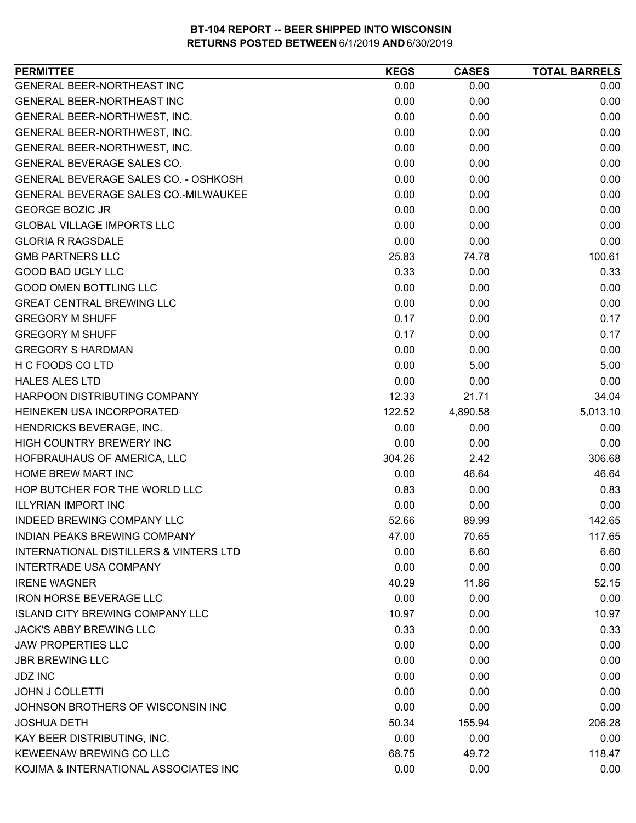| <b>PERMITTEE</b>                            | <b>KEGS</b> | <b>CASES</b> | <b>TOTAL BARRELS</b> |
|---------------------------------------------|-------------|--------------|----------------------|
| GENERAL BEER-NORTHEAST INC                  | 0.00        | 0.00         | 0.00                 |
| GENERAL BEER-NORTHEAST INC                  | 0.00        | 0.00         | 0.00                 |
| GENERAL BEER-NORTHWEST, INC.                | 0.00        | 0.00         | 0.00                 |
| GENERAL BEER-NORTHWEST, INC.                | 0.00        | 0.00         | 0.00                 |
| GENERAL BEER-NORTHWEST, INC.                | 0.00        | 0.00         | 0.00                 |
| GENERAL BEVERAGE SALES CO.                  | 0.00        | 0.00         | 0.00                 |
| <b>GENERAL BEVERAGE SALES CO. - OSHKOSH</b> | 0.00        | 0.00         | 0.00                 |
| GENERAL BEVERAGE SALES CO.-MILWAUKEE        | 0.00        | 0.00         | 0.00                 |
| <b>GEORGE BOZIC JR</b>                      | 0.00        | 0.00         | 0.00                 |
| <b>GLOBAL VILLAGE IMPORTS LLC</b>           | 0.00        | 0.00         | 0.00                 |
| <b>GLORIA R RAGSDALE</b>                    | 0.00        | 0.00         | 0.00                 |
| <b>GMB PARTNERS LLC</b>                     | 25.83       | 74.78        | 100.61               |
| <b>GOOD BAD UGLY LLC</b>                    | 0.33        | 0.00         | 0.33                 |
| <b>GOOD OMEN BOTTLING LLC</b>               | 0.00        | 0.00         | 0.00                 |
| <b>GREAT CENTRAL BREWING LLC</b>            | 0.00        | 0.00         | 0.00                 |
| <b>GREGORY M SHUFF</b>                      | 0.17        | 0.00         | 0.17                 |
| <b>GREGORY M SHUFF</b>                      | 0.17        | 0.00         | 0.17                 |
| <b>GREGORY S HARDMAN</b>                    | 0.00        | 0.00         | 0.00                 |
| H C FOODS CO LTD                            | 0.00        | 5.00         | 5.00                 |
| <b>HALES ALES LTD</b>                       | 0.00        | 0.00         | 0.00                 |
| HARPOON DISTRIBUTING COMPANY                | 12.33       | 21.71        | 34.04                |
| HEINEKEN USA INCORPORATED                   | 122.52      | 4,890.58     | 5,013.10             |
| HENDRICKS BEVERAGE, INC.                    | 0.00        | 0.00         | 0.00                 |
| HIGH COUNTRY BREWERY INC                    | 0.00        | 0.00         | 0.00                 |
| HOFBRAUHAUS OF AMERICA, LLC                 | 304.26      | 2.42         | 306.68               |
| HOME BREW MART INC                          | 0.00        | 46.64        | 46.64                |
| HOP BUTCHER FOR THE WORLD LLC               | 0.83        | 0.00         | 0.83                 |
| <b>ILLYRIAN IMPORT INC</b>                  | 0.00        | 0.00         | 0.00                 |
| INDEED BREWING COMPANY LLC                  | 52.66       | 89.99        | 142.65               |
| <b>INDIAN PEAKS BREWING COMPANY</b>         | 47.00       | 70.65        | 117.65               |
| INTERNATIONAL DISTILLERS & VINTERS LTD      | 0.00        | 6.60         | 6.60                 |
| <b>INTERTRADE USA COMPANY</b>               | 0.00        | 0.00         | 0.00                 |
| <b>IRENE WAGNER</b>                         | 40.29       | 11.86        | 52.15                |
| <b>IRON HORSE BEVERAGE LLC</b>              | 0.00        | 0.00         | 0.00                 |
| <b>ISLAND CITY BREWING COMPANY LLC</b>      | 10.97       | 0.00         | 10.97                |
| <b>JACK'S ABBY BREWING LLC</b>              | 0.33        | 0.00         | 0.33                 |
| <b>JAW PROPERTIES LLC</b>                   | 0.00        | 0.00         | 0.00                 |
| <b>JBR BREWING LLC</b>                      | 0.00        | 0.00         | 0.00                 |
| <b>JDZ INC</b>                              | 0.00        | 0.00         | 0.00                 |
| <b>JOHN J COLLETTI</b>                      | 0.00        | 0.00         | 0.00                 |
| JOHNSON BROTHERS OF WISCONSIN INC           | 0.00        | 0.00         | 0.00                 |
| <b>JOSHUA DETH</b>                          | 50.34       | 155.94       | 206.28               |
| KAY BEER DISTRIBUTING, INC.                 | 0.00        | 0.00         | 0.00                 |
| KEWEENAW BREWING CO LLC                     | 68.75       | 49.72        | 118.47               |
| KOJIMA & INTERNATIONAL ASSOCIATES INC       | 0.00        | 0.00         | 0.00                 |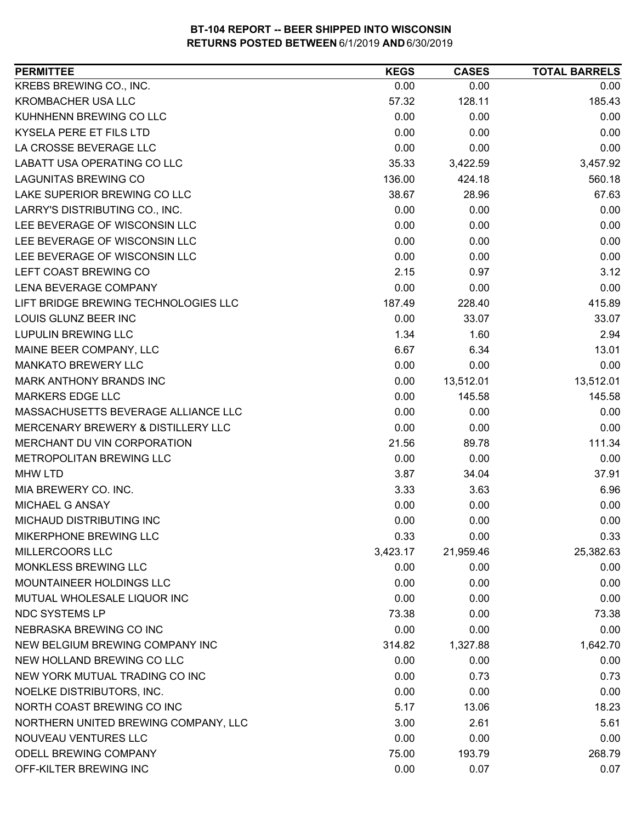| KREBS BREWING CO., INC.<br>0.00<br>0.00<br>0.00<br><b>KROMBACHER USA LLC</b><br>128.11<br>185.43<br>57.32<br>KUHNHENN BREWING CO LLC<br>0.00<br>0.00<br>0.00<br>0.00<br><b>KYSELA PERE ET FILS LTD</b><br>0.00<br>0.00<br>0.00<br>0.00<br>0.00<br>35.33<br>3,457.92<br>3,422.59<br>560.18<br>136.00<br>424.18<br>67.63<br>38.67<br>28.96<br>0.00<br>0.00<br>0.00<br>0.00<br>0.00<br>0.00<br>0.00<br>0.00<br>0.00<br>0.00<br>0.00<br>0.00<br>3.12<br>2.15<br>0.97<br>0.00<br>0.00<br>0.00<br>228.40<br>415.89<br>187.49<br>0.00<br>33.07<br>33.07<br>1.34<br>1.60<br>2.94<br>6.67<br>13.01<br>6.34<br>0.00<br>0.00<br>0.00<br>13,512.01<br>0.00<br>13,512.01<br>0.00<br>145.58<br>145.58<br>0.00<br>0.00<br>0.00<br>0.00<br>0.00<br>0.00<br>21.56<br>89.78<br>111.34<br>0.00<br>0.00<br>0.00<br>37.91<br>3.87<br>34.04<br>3.33<br>6.96<br>3.63<br>0.00<br>0.00<br>0.00<br>0.00<br>0.00<br>0.00<br>0.33<br>0.00<br>0.33<br>3,423.17<br>21,959.46<br>0.00<br>0.00<br>0.00<br>0.00<br>0.00<br>0.00<br>0.00<br>0.00<br>0.00<br>73.38<br>0.00<br>73.38<br>0.00<br>0.00<br>0.00<br>1,642.70<br>314.82<br>1,327.88<br>0.00<br>0.00<br>0.00<br>0.00<br>0.73<br>0.73<br>0.00<br>0.00<br>0.00<br>5.17<br>18.23<br>13.06<br>NORTHERN UNITED BREWING COMPANY, LLC<br>3.00<br>2.61<br>5.61<br>0.00<br>0.00<br>0.00<br>ODELL BREWING COMPANY<br>268.79<br>75.00<br>193.79<br>OFF-KILTER BREWING INC<br>0.00<br>0.07<br>0.07 | <b>PERMITTEE</b>                     | <b>KEGS</b> | <b>CASES</b> | <b>TOTAL BARRELS</b> |
|--------------------------------------------------------------------------------------------------------------------------------------------------------------------------------------------------------------------------------------------------------------------------------------------------------------------------------------------------------------------------------------------------------------------------------------------------------------------------------------------------------------------------------------------------------------------------------------------------------------------------------------------------------------------------------------------------------------------------------------------------------------------------------------------------------------------------------------------------------------------------------------------------------------------------------------------------------------------------------------------------------------------------------------------------------------------------------------------------------------------------------------------------------------------------------------------------------------------------------------------------------------------------------------------------------------------------------------------------------------------------------------------------------------|--------------------------------------|-------------|--------------|----------------------|
|                                                                                                                                                                                                                                                                                                                                                                                                                                                                                                                                                                                                                                                                                                                                                                                                                                                                                                                                                                                                                                                                                                                                                                                                                                                                                                                                                                                                              |                                      |             |              |                      |
|                                                                                                                                                                                                                                                                                                                                                                                                                                                                                                                                                                                                                                                                                                                                                                                                                                                                                                                                                                                                                                                                                                                                                                                                                                                                                                                                                                                                              |                                      |             |              |                      |
|                                                                                                                                                                                                                                                                                                                                                                                                                                                                                                                                                                                                                                                                                                                                                                                                                                                                                                                                                                                                                                                                                                                                                                                                                                                                                                                                                                                                              |                                      |             |              |                      |
| 25,382.63                                                                                                                                                                                                                                                                                                                                                                                                                                                                                                                                                                                                                                                                                                                                                                                                                                                                                                                                                                                                                                                                                                                                                                                                                                                                                                                                                                                                    |                                      |             |              |                      |
|                                                                                                                                                                                                                                                                                                                                                                                                                                                                                                                                                                                                                                                                                                                                                                                                                                                                                                                                                                                                                                                                                                                                                                                                                                                                                                                                                                                                              | LA CROSSE BEVERAGE LLC               |             |              |                      |
|                                                                                                                                                                                                                                                                                                                                                                                                                                                                                                                                                                                                                                                                                                                                                                                                                                                                                                                                                                                                                                                                                                                                                                                                                                                                                                                                                                                                              | LABATT USA OPERATING CO LLC          |             |              |                      |
|                                                                                                                                                                                                                                                                                                                                                                                                                                                                                                                                                                                                                                                                                                                                                                                                                                                                                                                                                                                                                                                                                                                                                                                                                                                                                                                                                                                                              | <b>LAGUNITAS BREWING CO</b>          |             |              |                      |
|                                                                                                                                                                                                                                                                                                                                                                                                                                                                                                                                                                                                                                                                                                                                                                                                                                                                                                                                                                                                                                                                                                                                                                                                                                                                                                                                                                                                              | LAKE SUPERIOR BREWING CO LLC         |             |              |                      |
|                                                                                                                                                                                                                                                                                                                                                                                                                                                                                                                                                                                                                                                                                                                                                                                                                                                                                                                                                                                                                                                                                                                                                                                                                                                                                                                                                                                                              | LARRY'S DISTRIBUTING CO., INC.       |             |              |                      |
|                                                                                                                                                                                                                                                                                                                                                                                                                                                                                                                                                                                                                                                                                                                                                                                                                                                                                                                                                                                                                                                                                                                                                                                                                                                                                                                                                                                                              | LEE BEVERAGE OF WISCONSIN LLC        |             |              |                      |
|                                                                                                                                                                                                                                                                                                                                                                                                                                                                                                                                                                                                                                                                                                                                                                                                                                                                                                                                                                                                                                                                                                                                                                                                                                                                                                                                                                                                              | LEE BEVERAGE OF WISCONSIN LLC        |             |              |                      |
|                                                                                                                                                                                                                                                                                                                                                                                                                                                                                                                                                                                                                                                                                                                                                                                                                                                                                                                                                                                                                                                                                                                                                                                                                                                                                                                                                                                                              | LEE BEVERAGE OF WISCONSIN LLC        |             |              |                      |
|                                                                                                                                                                                                                                                                                                                                                                                                                                                                                                                                                                                                                                                                                                                                                                                                                                                                                                                                                                                                                                                                                                                                                                                                                                                                                                                                                                                                              | LEFT COAST BREWING CO                |             |              |                      |
|                                                                                                                                                                                                                                                                                                                                                                                                                                                                                                                                                                                                                                                                                                                                                                                                                                                                                                                                                                                                                                                                                                                                                                                                                                                                                                                                                                                                              | <b>LENA BEVERAGE COMPANY</b>         |             |              |                      |
|                                                                                                                                                                                                                                                                                                                                                                                                                                                                                                                                                                                                                                                                                                                                                                                                                                                                                                                                                                                                                                                                                                                                                                                                                                                                                                                                                                                                              | LIFT BRIDGE BREWING TECHNOLOGIES LLC |             |              |                      |
|                                                                                                                                                                                                                                                                                                                                                                                                                                                                                                                                                                                                                                                                                                                                                                                                                                                                                                                                                                                                                                                                                                                                                                                                                                                                                                                                                                                                              | <b>LOUIS GLUNZ BEER INC</b>          |             |              |                      |
|                                                                                                                                                                                                                                                                                                                                                                                                                                                                                                                                                                                                                                                                                                                                                                                                                                                                                                                                                                                                                                                                                                                                                                                                                                                                                                                                                                                                              | <b>LUPULIN BREWING LLC</b>           |             |              |                      |
|                                                                                                                                                                                                                                                                                                                                                                                                                                                                                                                                                                                                                                                                                                                                                                                                                                                                                                                                                                                                                                                                                                                                                                                                                                                                                                                                                                                                              | MAINE BEER COMPANY, LLC              |             |              |                      |
|                                                                                                                                                                                                                                                                                                                                                                                                                                                                                                                                                                                                                                                                                                                                                                                                                                                                                                                                                                                                                                                                                                                                                                                                                                                                                                                                                                                                              | <b>MANKATO BREWERY LLC</b>           |             |              |                      |
|                                                                                                                                                                                                                                                                                                                                                                                                                                                                                                                                                                                                                                                                                                                                                                                                                                                                                                                                                                                                                                                                                                                                                                                                                                                                                                                                                                                                              | <b>MARK ANTHONY BRANDS INC</b>       |             |              |                      |
|                                                                                                                                                                                                                                                                                                                                                                                                                                                                                                                                                                                                                                                                                                                                                                                                                                                                                                                                                                                                                                                                                                                                                                                                                                                                                                                                                                                                              | <b>MARKERS EDGE LLC</b>              |             |              |                      |
|                                                                                                                                                                                                                                                                                                                                                                                                                                                                                                                                                                                                                                                                                                                                                                                                                                                                                                                                                                                                                                                                                                                                                                                                                                                                                                                                                                                                              | MASSACHUSETTS BEVERAGE ALLIANCE LLC  |             |              |                      |
|                                                                                                                                                                                                                                                                                                                                                                                                                                                                                                                                                                                                                                                                                                                                                                                                                                                                                                                                                                                                                                                                                                                                                                                                                                                                                                                                                                                                              | MERCENARY BREWERY & DISTILLERY LLC   |             |              |                      |
|                                                                                                                                                                                                                                                                                                                                                                                                                                                                                                                                                                                                                                                                                                                                                                                                                                                                                                                                                                                                                                                                                                                                                                                                                                                                                                                                                                                                              | MERCHANT DU VIN CORPORATION          |             |              |                      |
|                                                                                                                                                                                                                                                                                                                                                                                                                                                                                                                                                                                                                                                                                                                                                                                                                                                                                                                                                                                                                                                                                                                                                                                                                                                                                                                                                                                                              | METROPOLITAN BREWING LLC             |             |              |                      |
|                                                                                                                                                                                                                                                                                                                                                                                                                                                                                                                                                                                                                                                                                                                                                                                                                                                                                                                                                                                                                                                                                                                                                                                                                                                                                                                                                                                                              | <b>MHW LTD</b>                       |             |              |                      |
|                                                                                                                                                                                                                                                                                                                                                                                                                                                                                                                                                                                                                                                                                                                                                                                                                                                                                                                                                                                                                                                                                                                                                                                                                                                                                                                                                                                                              | MIA BREWERY CO. INC.                 |             |              |                      |
|                                                                                                                                                                                                                                                                                                                                                                                                                                                                                                                                                                                                                                                                                                                                                                                                                                                                                                                                                                                                                                                                                                                                                                                                                                                                                                                                                                                                              | MICHAEL G ANSAY                      |             |              |                      |
|                                                                                                                                                                                                                                                                                                                                                                                                                                                                                                                                                                                                                                                                                                                                                                                                                                                                                                                                                                                                                                                                                                                                                                                                                                                                                                                                                                                                              | MICHAUD DISTRIBUTING INC             |             |              |                      |
|                                                                                                                                                                                                                                                                                                                                                                                                                                                                                                                                                                                                                                                                                                                                                                                                                                                                                                                                                                                                                                                                                                                                                                                                                                                                                                                                                                                                              | MIKERPHONE BREWING LLC               |             |              |                      |
|                                                                                                                                                                                                                                                                                                                                                                                                                                                                                                                                                                                                                                                                                                                                                                                                                                                                                                                                                                                                                                                                                                                                                                                                                                                                                                                                                                                                              | MILLERCOORS LLC                      |             |              |                      |
|                                                                                                                                                                                                                                                                                                                                                                                                                                                                                                                                                                                                                                                                                                                                                                                                                                                                                                                                                                                                                                                                                                                                                                                                                                                                                                                                                                                                              | MONKLESS BREWING LLC                 |             |              |                      |
|                                                                                                                                                                                                                                                                                                                                                                                                                                                                                                                                                                                                                                                                                                                                                                                                                                                                                                                                                                                                                                                                                                                                                                                                                                                                                                                                                                                                              | MOUNTAINEER HOLDINGS LLC             |             |              |                      |
|                                                                                                                                                                                                                                                                                                                                                                                                                                                                                                                                                                                                                                                                                                                                                                                                                                                                                                                                                                                                                                                                                                                                                                                                                                                                                                                                                                                                              | MUTUAL WHOLESALE LIQUOR INC          |             |              |                      |
|                                                                                                                                                                                                                                                                                                                                                                                                                                                                                                                                                                                                                                                                                                                                                                                                                                                                                                                                                                                                                                                                                                                                                                                                                                                                                                                                                                                                              | <b>NDC SYSTEMS LP</b>                |             |              |                      |
|                                                                                                                                                                                                                                                                                                                                                                                                                                                                                                                                                                                                                                                                                                                                                                                                                                                                                                                                                                                                                                                                                                                                                                                                                                                                                                                                                                                                              | NEBRASKA BREWING CO INC              |             |              |                      |
|                                                                                                                                                                                                                                                                                                                                                                                                                                                                                                                                                                                                                                                                                                                                                                                                                                                                                                                                                                                                                                                                                                                                                                                                                                                                                                                                                                                                              | NEW BELGIUM BREWING COMPANY INC      |             |              |                      |
|                                                                                                                                                                                                                                                                                                                                                                                                                                                                                                                                                                                                                                                                                                                                                                                                                                                                                                                                                                                                                                                                                                                                                                                                                                                                                                                                                                                                              | NEW HOLLAND BREWING CO LLC           |             |              |                      |
|                                                                                                                                                                                                                                                                                                                                                                                                                                                                                                                                                                                                                                                                                                                                                                                                                                                                                                                                                                                                                                                                                                                                                                                                                                                                                                                                                                                                              | NEW YORK MUTUAL TRADING CO INC       |             |              |                      |
|                                                                                                                                                                                                                                                                                                                                                                                                                                                                                                                                                                                                                                                                                                                                                                                                                                                                                                                                                                                                                                                                                                                                                                                                                                                                                                                                                                                                              | NOELKE DISTRIBUTORS, INC.            |             |              |                      |
|                                                                                                                                                                                                                                                                                                                                                                                                                                                                                                                                                                                                                                                                                                                                                                                                                                                                                                                                                                                                                                                                                                                                                                                                                                                                                                                                                                                                              | NORTH COAST BREWING CO INC           |             |              |                      |
|                                                                                                                                                                                                                                                                                                                                                                                                                                                                                                                                                                                                                                                                                                                                                                                                                                                                                                                                                                                                                                                                                                                                                                                                                                                                                                                                                                                                              |                                      |             |              |                      |
|                                                                                                                                                                                                                                                                                                                                                                                                                                                                                                                                                                                                                                                                                                                                                                                                                                                                                                                                                                                                                                                                                                                                                                                                                                                                                                                                                                                                              | NOUVEAU VENTURES LLC                 |             |              |                      |
|                                                                                                                                                                                                                                                                                                                                                                                                                                                                                                                                                                                                                                                                                                                                                                                                                                                                                                                                                                                                                                                                                                                                                                                                                                                                                                                                                                                                              |                                      |             |              |                      |
|                                                                                                                                                                                                                                                                                                                                                                                                                                                                                                                                                                                                                                                                                                                                                                                                                                                                                                                                                                                                                                                                                                                                                                                                                                                                                                                                                                                                              |                                      |             |              |                      |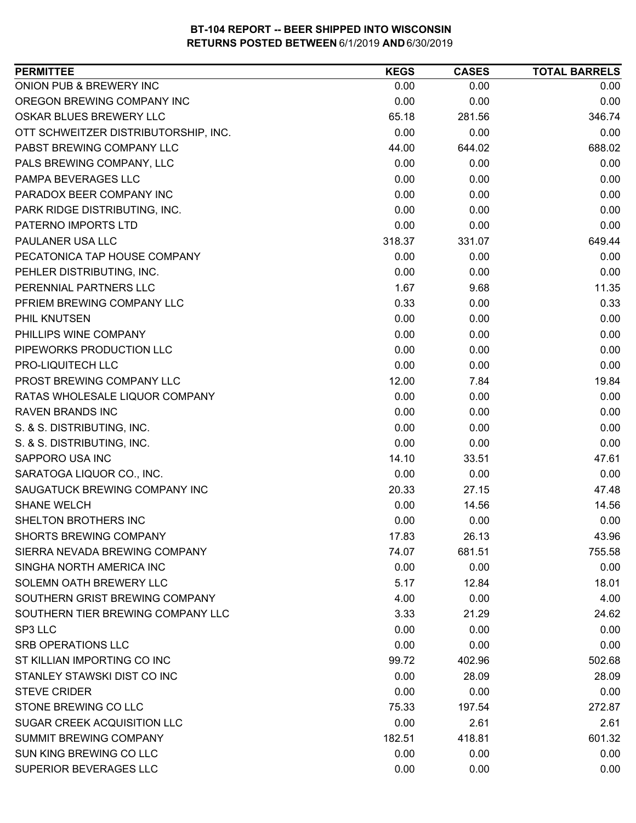| ONION PUB & BREWERY INC<br>0.00<br>0.00<br>0.00<br>OREGON BREWING COMPANY INC<br>0.00<br>0.00<br>0.00<br>OSKAR BLUES BREWERY LLC<br>346.74<br>65.18<br>281.56<br>0.00<br>0.00<br>0.00<br>OTT SCHWEITZER DISTRIBUTORSHIP, INC.<br>PABST BREWING COMPANY LLC<br>44.00<br>644.02<br>688.02<br>PALS BREWING COMPANY, LLC<br>0.00<br>0.00<br>0.00<br>PAMPA BEVERAGES LLC<br>0.00<br>0.00<br>0.00<br>0.00<br>PARADOX BEER COMPANY INC<br>0.00<br>0.00<br>0.00<br>PARK RIDGE DISTRIBUTING, INC.<br>0.00<br>0.00<br>PATERNO IMPORTS LTD<br>0.00<br>0.00<br>0.00<br>649.44<br>PAULANER USA LLC<br>318.37<br>331.07<br>0.00<br>0.00<br>PECATONICA TAP HOUSE COMPANY<br>0.00<br>0.00<br>0.00<br>PEHLER DISTRIBUTING, INC.<br>0.00<br>PERENNIAL PARTNERS LLC<br>1.67<br>9.68<br>11.35<br>PFRIEM BREWING COMPANY LLC<br>0.33<br>0.33<br>0.00<br>0.00<br>0.00<br>0.00<br><b>PHIL KNUTSEN</b><br>0.00<br>PHILLIPS WINE COMPANY<br>0.00<br>0.00<br>PIPEWORKS PRODUCTION LLC<br>0.00<br>0.00<br>0.00<br>PRO-LIQUITECH LLC<br>0.00<br>0.00<br>0.00<br>PROST BREWING COMPANY LLC<br>12.00<br>7.84<br>19.84<br>0.00<br>RATAS WHOLESALE LIQUOR COMPANY<br>0.00<br>0.00<br><b>RAVEN BRANDS INC</b><br>0.00<br>0.00<br>0.00<br>S. & S. DISTRIBUTING, INC.<br>0.00<br>0.00<br>0.00<br>S. & S. DISTRIBUTING, INC.<br>0.00<br>0.00<br>0.00<br>14.10<br>33.51<br>47.61<br>SAPPORO USA INC<br>0.00<br>0.00<br>SARATOGA LIQUOR CO., INC.<br>0.00<br>20.33<br>47.48<br>SAUGATUCK BREWING COMPANY INC<br>27.15<br>0.00<br>14.56<br><b>SHANE WELCH</b><br>14.56<br>0.00<br>0.00<br>0.00<br>SHELTON BROTHERS INC<br><b>SHORTS BREWING COMPANY</b><br>17.83<br>26.13<br>43.96<br>SIERRA NEVADA BREWING COMPANY<br>74.07<br>681.51<br>755.58<br>SINGHA NORTH AMERICA INC<br>0.00<br>0.00<br>0.00<br>SOLEMN OATH BREWERY LLC<br>5.17<br>12.84<br>18.01<br>SOUTHERN GRIST BREWING COMPANY<br>4.00<br>0.00<br>4.00<br>SOUTHERN TIER BREWING COMPANY LLC<br>3.33<br>21.29<br>24.62<br>SP3 LLC<br>0.00<br>0.00<br>0.00<br><b>SRB OPERATIONS LLC</b><br>0.00<br>0.00<br>0.00<br>ST KILLIAN IMPORTING CO INC<br>99.72<br>502.68<br>402.96<br>STANLEY STAWSKI DIST CO INC<br>0.00<br>28.09<br>28.09<br><b>STEVE CRIDER</b><br>0.00<br>0.00<br>0.00<br>STONE BREWING CO LLC<br>75.33<br>197.54<br>272.87<br>SUGAR CREEK ACQUISITION LLC<br>0.00<br>2.61<br>2.61<br>SUMMIT BREWING COMPANY<br>601.32<br>182.51<br>418.81<br>SUN KING BREWING CO LLC<br>0.00<br>0.00<br>0.00<br>SUPERIOR BEVERAGES LLC<br>0.00<br>0.00<br>0.00 | <b>PERMITTEE</b> | <b>KEGS</b> | <b>CASES</b> | <b>TOTAL BARRELS</b> |
|----------------------------------------------------------------------------------------------------------------------------------------------------------------------------------------------------------------------------------------------------------------------------------------------------------------------------------------------------------------------------------------------------------------------------------------------------------------------------------------------------------------------------------------------------------------------------------------------------------------------------------------------------------------------------------------------------------------------------------------------------------------------------------------------------------------------------------------------------------------------------------------------------------------------------------------------------------------------------------------------------------------------------------------------------------------------------------------------------------------------------------------------------------------------------------------------------------------------------------------------------------------------------------------------------------------------------------------------------------------------------------------------------------------------------------------------------------------------------------------------------------------------------------------------------------------------------------------------------------------------------------------------------------------------------------------------------------------------------------------------------------------------------------------------------------------------------------------------------------------------------------------------------------------------------------------------------------------------------------------------------------------------------------------------------------------------------------------------------------------------------------------------------------------------------------------------------------------------------------------------------------------------------------------------------------------------------------------------------------------------------------------------------------------------------------------------------------------------------------|------------------|-------------|--------------|----------------------|
|                                                                                                                                                                                                                                                                                                                                                                                                                                                                                                                                                                                                                                                                                                                                                                                                                                                                                                                                                                                                                                                                                                                                                                                                                                                                                                                                                                                                                                                                                                                                                                                                                                                                                                                                                                                                                                                                                                                                                                                                                                                                                                                                                                                                                                                                                                                                                                                                                                                                                  |                  |             |              |                      |
|                                                                                                                                                                                                                                                                                                                                                                                                                                                                                                                                                                                                                                                                                                                                                                                                                                                                                                                                                                                                                                                                                                                                                                                                                                                                                                                                                                                                                                                                                                                                                                                                                                                                                                                                                                                                                                                                                                                                                                                                                                                                                                                                                                                                                                                                                                                                                                                                                                                                                  |                  |             |              |                      |
|                                                                                                                                                                                                                                                                                                                                                                                                                                                                                                                                                                                                                                                                                                                                                                                                                                                                                                                                                                                                                                                                                                                                                                                                                                                                                                                                                                                                                                                                                                                                                                                                                                                                                                                                                                                                                                                                                                                                                                                                                                                                                                                                                                                                                                                                                                                                                                                                                                                                                  |                  |             |              |                      |
|                                                                                                                                                                                                                                                                                                                                                                                                                                                                                                                                                                                                                                                                                                                                                                                                                                                                                                                                                                                                                                                                                                                                                                                                                                                                                                                                                                                                                                                                                                                                                                                                                                                                                                                                                                                                                                                                                                                                                                                                                                                                                                                                                                                                                                                                                                                                                                                                                                                                                  |                  |             |              |                      |
|                                                                                                                                                                                                                                                                                                                                                                                                                                                                                                                                                                                                                                                                                                                                                                                                                                                                                                                                                                                                                                                                                                                                                                                                                                                                                                                                                                                                                                                                                                                                                                                                                                                                                                                                                                                                                                                                                                                                                                                                                                                                                                                                                                                                                                                                                                                                                                                                                                                                                  |                  |             |              |                      |
|                                                                                                                                                                                                                                                                                                                                                                                                                                                                                                                                                                                                                                                                                                                                                                                                                                                                                                                                                                                                                                                                                                                                                                                                                                                                                                                                                                                                                                                                                                                                                                                                                                                                                                                                                                                                                                                                                                                                                                                                                                                                                                                                                                                                                                                                                                                                                                                                                                                                                  |                  |             |              |                      |
|                                                                                                                                                                                                                                                                                                                                                                                                                                                                                                                                                                                                                                                                                                                                                                                                                                                                                                                                                                                                                                                                                                                                                                                                                                                                                                                                                                                                                                                                                                                                                                                                                                                                                                                                                                                                                                                                                                                                                                                                                                                                                                                                                                                                                                                                                                                                                                                                                                                                                  |                  |             |              |                      |
|                                                                                                                                                                                                                                                                                                                                                                                                                                                                                                                                                                                                                                                                                                                                                                                                                                                                                                                                                                                                                                                                                                                                                                                                                                                                                                                                                                                                                                                                                                                                                                                                                                                                                                                                                                                                                                                                                                                                                                                                                                                                                                                                                                                                                                                                                                                                                                                                                                                                                  |                  |             |              |                      |
|                                                                                                                                                                                                                                                                                                                                                                                                                                                                                                                                                                                                                                                                                                                                                                                                                                                                                                                                                                                                                                                                                                                                                                                                                                                                                                                                                                                                                                                                                                                                                                                                                                                                                                                                                                                                                                                                                                                                                                                                                                                                                                                                                                                                                                                                                                                                                                                                                                                                                  |                  |             |              |                      |
|                                                                                                                                                                                                                                                                                                                                                                                                                                                                                                                                                                                                                                                                                                                                                                                                                                                                                                                                                                                                                                                                                                                                                                                                                                                                                                                                                                                                                                                                                                                                                                                                                                                                                                                                                                                                                                                                                                                                                                                                                                                                                                                                                                                                                                                                                                                                                                                                                                                                                  |                  |             |              |                      |
|                                                                                                                                                                                                                                                                                                                                                                                                                                                                                                                                                                                                                                                                                                                                                                                                                                                                                                                                                                                                                                                                                                                                                                                                                                                                                                                                                                                                                                                                                                                                                                                                                                                                                                                                                                                                                                                                                                                                                                                                                                                                                                                                                                                                                                                                                                                                                                                                                                                                                  |                  |             |              |                      |
|                                                                                                                                                                                                                                                                                                                                                                                                                                                                                                                                                                                                                                                                                                                                                                                                                                                                                                                                                                                                                                                                                                                                                                                                                                                                                                                                                                                                                                                                                                                                                                                                                                                                                                                                                                                                                                                                                                                                                                                                                                                                                                                                                                                                                                                                                                                                                                                                                                                                                  |                  |             |              |                      |
|                                                                                                                                                                                                                                                                                                                                                                                                                                                                                                                                                                                                                                                                                                                                                                                                                                                                                                                                                                                                                                                                                                                                                                                                                                                                                                                                                                                                                                                                                                                                                                                                                                                                                                                                                                                                                                                                                                                                                                                                                                                                                                                                                                                                                                                                                                                                                                                                                                                                                  |                  |             |              |                      |
|                                                                                                                                                                                                                                                                                                                                                                                                                                                                                                                                                                                                                                                                                                                                                                                                                                                                                                                                                                                                                                                                                                                                                                                                                                                                                                                                                                                                                                                                                                                                                                                                                                                                                                                                                                                                                                                                                                                                                                                                                                                                                                                                                                                                                                                                                                                                                                                                                                                                                  |                  |             |              |                      |
|                                                                                                                                                                                                                                                                                                                                                                                                                                                                                                                                                                                                                                                                                                                                                                                                                                                                                                                                                                                                                                                                                                                                                                                                                                                                                                                                                                                                                                                                                                                                                                                                                                                                                                                                                                                                                                                                                                                                                                                                                                                                                                                                                                                                                                                                                                                                                                                                                                                                                  |                  |             |              |                      |
|                                                                                                                                                                                                                                                                                                                                                                                                                                                                                                                                                                                                                                                                                                                                                                                                                                                                                                                                                                                                                                                                                                                                                                                                                                                                                                                                                                                                                                                                                                                                                                                                                                                                                                                                                                                                                                                                                                                                                                                                                                                                                                                                                                                                                                                                                                                                                                                                                                                                                  |                  |             |              |                      |
|                                                                                                                                                                                                                                                                                                                                                                                                                                                                                                                                                                                                                                                                                                                                                                                                                                                                                                                                                                                                                                                                                                                                                                                                                                                                                                                                                                                                                                                                                                                                                                                                                                                                                                                                                                                                                                                                                                                                                                                                                                                                                                                                                                                                                                                                                                                                                                                                                                                                                  |                  |             |              |                      |
|                                                                                                                                                                                                                                                                                                                                                                                                                                                                                                                                                                                                                                                                                                                                                                                                                                                                                                                                                                                                                                                                                                                                                                                                                                                                                                                                                                                                                                                                                                                                                                                                                                                                                                                                                                                                                                                                                                                                                                                                                                                                                                                                                                                                                                                                                                                                                                                                                                                                                  |                  |             |              |                      |
|                                                                                                                                                                                                                                                                                                                                                                                                                                                                                                                                                                                                                                                                                                                                                                                                                                                                                                                                                                                                                                                                                                                                                                                                                                                                                                                                                                                                                                                                                                                                                                                                                                                                                                                                                                                                                                                                                                                                                                                                                                                                                                                                                                                                                                                                                                                                                                                                                                                                                  |                  |             |              |                      |
|                                                                                                                                                                                                                                                                                                                                                                                                                                                                                                                                                                                                                                                                                                                                                                                                                                                                                                                                                                                                                                                                                                                                                                                                                                                                                                                                                                                                                                                                                                                                                                                                                                                                                                                                                                                                                                                                                                                                                                                                                                                                                                                                                                                                                                                                                                                                                                                                                                                                                  |                  |             |              |                      |
|                                                                                                                                                                                                                                                                                                                                                                                                                                                                                                                                                                                                                                                                                                                                                                                                                                                                                                                                                                                                                                                                                                                                                                                                                                                                                                                                                                                                                                                                                                                                                                                                                                                                                                                                                                                                                                                                                                                                                                                                                                                                                                                                                                                                                                                                                                                                                                                                                                                                                  |                  |             |              |                      |
|                                                                                                                                                                                                                                                                                                                                                                                                                                                                                                                                                                                                                                                                                                                                                                                                                                                                                                                                                                                                                                                                                                                                                                                                                                                                                                                                                                                                                                                                                                                                                                                                                                                                                                                                                                                                                                                                                                                                                                                                                                                                                                                                                                                                                                                                                                                                                                                                                                                                                  |                  |             |              |                      |
|                                                                                                                                                                                                                                                                                                                                                                                                                                                                                                                                                                                                                                                                                                                                                                                                                                                                                                                                                                                                                                                                                                                                                                                                                                                                                                                                                                                                                                                                                                                                                                                                                                                                                                                                                                                                                                                                                                                                                                                                                                                                                                                                                                                                                                                                                                                                                                                                                                                                                  |                  |             |              |                      |
|                                                                                                                                                                                                                                                                                                                                                                                                                                                                                                                                                                                                                                                                                                                                                                                                                                                                                                                                                                                                                                                                                                                                                                                                                                                                                                                                                                                                                                                                                                                                                                                                                                                                                                                                                                                                                                                                                                                                                                                                                                                                                                                                                                                                                                                                                                                                                                                                                                                                                  |                  |             |              |                      |
|                                                                                                                                                                                                                                                                                                                                                                                                                                                                                                                                                                                                                                                                                                                                                                                                                                                                                                                                                                                                                                                                                                                                                                                                                                                                                                                                                                                                                                                                                                                                                                                                                                                                                                                                                                                                                                                                                                                                                                                                                                                                                                                                                                                                                                                                                                                                                                                                                                                                                  |                  |             |              |                      |
|                                                                                                                                                                                                                                                                                                                                                                                                                                                                                                                                                                                                                                                                                                                                                                                                                                                                                                                                                                                                                                                                                                                                                                                                                                                                                                                                                                                                                                                                                                                                                                                                                                                                                                                                                                                                                                                                                                                                                                                                                                                                                                                                                                                                                                                                                                                                                                                                                                                                                  |                  |             |              |                      |
|                                                                                                                                                                                                                                                                                                                                                                                                                                                                                                                                                                                                                                                                                                                                                                                                                                                                                                                                                                                                                                                                                                                                                                                                                                                                                                                                                                                                                                                                                                                                                                                                                                                                                                                                                                                                                                                                                                                                                                                                                                                                                                                                                                                                                                                                                                                                                                                                                                                                                  |                  |             |              |                      |
|                                                                                                                                                                                                                                                                                                                                                                                                                                                                                                                                                                                                                                                                                                                                                                                                                                                                                                                                                                                                                                                                                                                                                                                                                                                                                                                                                                                                                                                                                                                                                                                                                                                                                                                                                                                                                                                                                                                                                                                                                                                                                                                                                                                                                                                                                                                                                                                                                                                                                  |                  |             |              |                      |
|                                                                                                                                                                                                                                                                                                                                                                                                                                                                                                                                                                                                                                                                                                                                                                                                                                                                                                                                                                                                                                                                                                                                                                                                                                                                                                                                                                                                                                                                                                                                                                                                                                                                                                                                                                                                                                                                                                                                                                                                                                                                                                                                                                                                                                                                                                                                                                                                                                                                                  |                  |             |              |                      |
|                                                                                                                                                                                                                                                                                                                                                                                                                                                                                                                                                                                                                                                                                                                                                                                                                                                                                                                                                                                                                                                                                                                                                                                                                                                                                                                                                                                                                                                                                                                                                                                                                                                                                                                                                                                                                                                                                                                                                                                                                                                                                                                                                                                                                                                                                                                                                                                                                                                                                  |                  |             |              |                      |
|                                                                                                                                                                                                                                                                                                                                                                                                                                                                                                                                                                                                                                                                                                                                                                                                                                                                                                                                                                                                                                                                                                                                                                                                                                                                                                                                                                                                                                                                                                                                                                                                                                                                                                                                                                                                                                                                                                                                                                                                                                                                                                                                                                                                                                                                                                                                                                                                                                                                                  |                  |             |              |                      |
|                                                                                                                                                                                                                                                                                                                                                                                                                                                                                                                                                                                                                                                                                                                                                                                                                                                                                                                                                                                                                                                                                                                                                                                                                                                                                                                                                                                                                                                                                                                                                                                                                                                                                                                                                                                                                                                                                                                                                                                                                                                                                                                                                                                                                                                                                                                                                                                                                                                                                  |                  |             |              |                      |
|                                                                                                                                                                                                                                                                                                                                                                                                                                                                                                                                                                                                                                                                                                                                                                                                                                                                                                                                                                                                                                                                                                                                                                                                                                                                                                                                                                                                                                                                                                                                                                                                                                                                                                                                                                                                                                                                                                                                                                                                                                                                                                                                                                                                                                                                                                                                                                                                                                                                                  |                  |             |              |                      |
|                                                                                                                                                                                                                                                                                                                                                                                                                                                                                                                                                                                                                                                                                                                                                                                                                                                                                                                                                                                                                                                                                                                                                                                                                                                                                                                                                                                                                                                                                                                                                                                                                                                                                                                                                                                                                                                                                                                                                                                                                                                                                                                                                                                                                                                                                                                                                                                                                                                                                  |                  |             |              |                      |
|                                                                                                                                                                                                                                                                                                                                                                                                                                                                                                                                                                                                                                                                                                                                                                                                                                                                                                                                                                                                                                                                                                                                                                                                                                                                                                                                                                                                                                                                                                                                                                                                                                                                                                                                                                                                                                                                                                                                                                                                                                                                                                                                                                                                                                                                                                                                                                                                                                                                                  |                  |             |              |                      |
|                                                                                                                                                                                                                                                                                                                                                                                                                                                                                                                                                                                                                                                                                                                                                                                                                                                                                                                                                                                                                                                                                                                                                                                                                                                                                                                                                                                                                                                                                                                                                                                                                                                                                                                                                                                                                                                                                                                                                                                                                                                                                                                                                                                                                                                                                                                                                                                                                                                                                  |                  |             |              |                      |
|                                                                                                                                                                                                                                                                                                                                                                                                                                                                                                                                                                                                                                                                                                                                                                                                                                                                                                                                                                                                                                                                                                                                                                                                                                                                                                                                                                                                                                                                                                                                                                                                                                                                                                                                                                                                                                                                                                                                                                                                                                                                                                                                                                                                                                                                                                                                                                                                                                                                                  |                  |             |              |                      |
|                                                                                                                                                                                                                                                                                                                                                                                                                                                                                                                                                                                                                                                                                                                                                                                                                                                                                                                                                                                                                                                                                                                                                                                                                                                                                                                                                                                                                                                                                                                                                                                                                                                                                                                                                                                                                                                                                                                                                                                                                                                                                                                                                                                                                                                                                                                                                                                                                                                                                  |                  |             |              |                      |
|                                                                                                                                                                                                                                                                                                                                                                                                                                                                                                                                                                                                                                                                                                                                                                                                                                                                                                                                                                                                                                                                                                                                                                                                                                                                                                                                                                                                                                                                                                                                                                                                                                                                                                                                                                                                                                                                                                                                                                                                                                                                                                                                                                                                                                                                                                                                                                                                                                                                                  |                  |             |              |                      |
|                                                                                                                                                                                                                                                                                                                                                                                                                                                                                                                                                                                                                                                                                                                                                                                                                                                                                                                                                                                                                                                                                                                                                                                                                                                                                                                                                                                                                                                                                                                                                                                                                                                                                                                                                                                                                                                                                                                                                                                                                                                                                                                                                                                                                                                                                                                                                                                                                                                                                  |                  |             |              |                      |
|                                                                                                                                                                                                                                                                                                                                                                                                                                                                                                                                                                                                                                                                                                                                                                                                                                                                                                                                                                                                                                                                                                                                                                                                                                                                                                                                                                                                                                                                                                                                                                                                                                                                                                                                                                                                                                                                                                                                                                                                                                                                                                                                                                                                                                                                                                                                                                                                                                                                                  |                  |             |              |                      |
|                                                                                                                                                                                                                                                                                                                                                                                                                                                                                                                                                                                                                                                                                                                                                                                                                                                                                                                                                                                                                                                                                                                                                                                                                                                                                                                                                                                                                                                                                                                                                                                                                                                                                                                                                                                                                                                                                                                                                                                                                                                                                                                                                                                                                                                                                                                                                                                                                                                                                  |                  |             |              |                      |
|                                                                                                                                                                                                                                                                                                                                                                                                                                                                                                                                                                                                                                                                                                                                                                                                                                                                                                                                                                                                                                                                                                                                                                                                                                                                                                                                                                                                                                                                                                                                                                                                                                                                                                                                                                                                                                                                                                                                                                                                                                                                                                                                                                                                                                                                                                                                                                                                                                                                                  |                  |             |              |                      |
|                                                                                                                                                                                                                                                                                                                                                                                                                                                                                                                                                                                                                                                                                                                                                                                                                                                                                                                                                                                                                                                                                                                                                                                                                                                                                                                                                                                                                                                                                                                                                                                                                                                                                                                                                                                                                                                                                                                                                                                                                                                                                                                                                                                                                                                                                                                                                                                                                                                                                  |                  |             |              |                      |
|                                                                                                                                                                                                                                                                                                                                                                                                                                                                                                                                                                                                                                                                                                                                                                                                                                                                                                                                                                                                                                                                                                                                                                                                                                                                                                                                                                                                                                                                                                                                                                                                                                                                                                                                                                                                                                                                                                                                                                                                                                                                                                                                                                                                                                                                                                                                                                                                                                                                                  |                  |             |              |                      |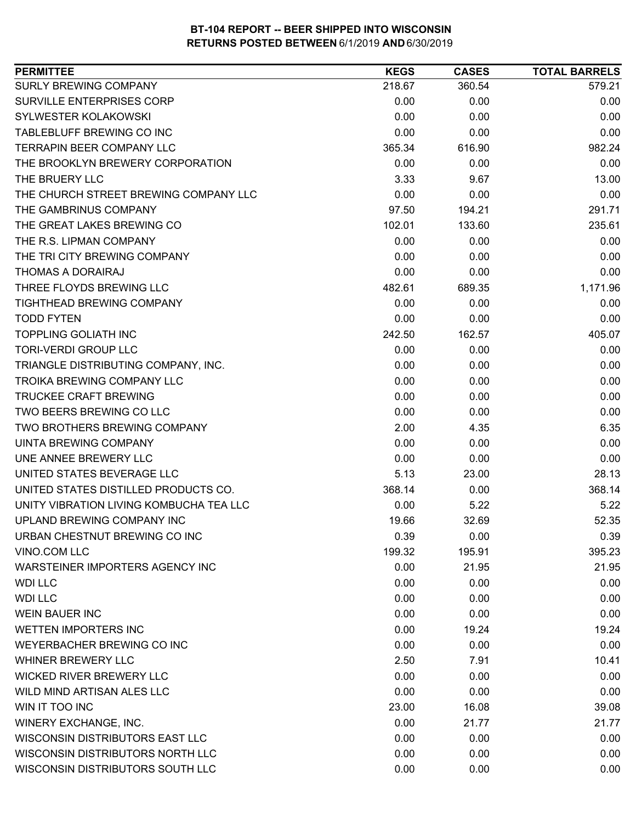| <b>PERMITTEE</b>                        | <b>KEGS</b> | <b>CASES</b> | <b>TOTAL BARRELS</b> |
|-----------------------------------------|-------------|--------------|----------------------|
| SURLY BREWING COMPANY                   | 218.67      | 360.54       | 579.21               |
| <b>SURVILLE ENTERPRISES CORP</b>        | 0.00        | 0.00         | 0.00                 |
| <b>SYLWESTER KOLAKOWSKI</b>             | 0.00        | 0.00         | 0.00                 |
| TABLEBLUFF BREWING CO INC               | 0.00        | 0.00         | 0.00                 |
| <b>TERRAPIN BEER COMPANY LLC</b>        | 365.34      | 616.90       | 982.24               |
| THE BROOKLYN BREWERY CORPORATION        | 0.00        | 0.00         | 0.00                 |
| THE BRUERY LLC                          | 3.33        | 9.67         | 13.00                |
| THE CHURCH STREET BREWING COMPANY LLC   | 0.00        | 0.00         | 0.00                 |
| THE GAMBRINUS COMPANY                   | 97.50       | 194.21       | 291.71               |
| THE GREAT LAKES BREWING CO              | 102.01      | 133.60       | 235.61               |
| THE R.S. LIPMAN COMPANY                 | 0.00        | 0.00         | 0.00                 |
| THE TRI CITY BREWING COMPANY            | 0.00        | 0.00         | 0.00                 |
| THOMAS A DORAIRAJ                       | 0.00        | 0.00         | 0.00                 |
| THREE FLOYDS BREWING LLC                | 482.61      | 689.35       | 1,171.96             |
| TIGHTHEAD BREWING COMPANY               | 0.00        | 0.00         | 0.00                 |
| <b>TODD FYTEN</b>                       | 0.00        | 0.00         | 0.00                 |
| <b>TOPPLING GOLIATH INC</b>             | 242.50      | 162.57       | 405.07               |
| <b>TORI-VERDI GROUP LLC</b>             | 0.00        | 0.00         | 0.00                 |
| TRIANGLE DISTRIBUTING COMPANY, INC.     | 0.00        | 0.00         | 0.00                 |
| TROIKA BREWING COMPANY LLC              | 0.00        | 0.00         | 0.00                 |
| <b>TRUCKEE CRAFT BREWING</b>            | 0.00        | 0.00         | 0.00                 |
| TWO BEERS BREWING CO LLC                | 0.00        | 0.00         | 0.00                 |
| TWO BROTHERS BREWING COMPANY            | 2.00        | 4.35         | 6.35                 |
| UINTA BREWING COMPANY                   | 0.00        | 0.00         | 0.00                 |
| UNE ANNEE BREWERY LLC                   | 0.00        | 0.00         | 0.00                 |
| UNITED STATES BEVERAGE LLC              | 5.13        | 23.00        | 28.13                |
| UNITED STATES DISTILLED PRODUCTS CO.    | 368.14      | 0.00         | 368.14               |
| UNITY VIBRATION LIVING KOMBUCHA TEA LLC | 0.00        | 5.22         | 5.22                 |
| UPLAND BREWING COMPANY INC              | 19.66       | 32.69        | 52.35                |
| URBAN CHESTNUT BREWING CO INC           | 0.39        | 0.00         | 0.39                 |
| VINO.COM LLC                            | 199.32      | 195.91       | 395.23               |
| WARSTEINER IMPORTERS AGENCY INC         | 0.00        | 21.95        | 21.95                |
| <b>WDI LLC</b>                          | 0.00        | 0.00         | 0.00                 |
| <b>WDI LLC</b>                          | 0.00        | 0.00         | 0.00                 |
| <b>WEIN BAUER INC</b>                   | 0.00        | 0.00         | 0.00                 |
| <b>WETTEN IMPORTERS INC</b>             | 0.00        | 19.24        | 19.24                |
| WEYERBACHER BREWING CO INC              | 0.00        | 0.00         | 0.00                 |
| <b>WHINER BREWERY LLC</b>               | 2.50        | 7.91         | 10.41                |
| <b>WICKED RIVER BREWERY LLC</b>         | 0.00        | 0.00         | 0.00                 |
| WILD MIND ARTISAN ALES LLC              | 0.00        | 0.00         | 0.00                 |
| WIN IT TOO INC                          | 23.00       | 16.08        | 39.08                |
| <b>WINERY EXCHANGE, INC.</b>            | 0.00        | 21.77        | 21.77                |
| WISCONSIN DISTRIBUTORS EAST LLC         | 0.00        | 0.00         | 0.00                 |
| WISCONSIN DISTRIBUTORS NORTH LLC        | 0.00        | 0.00         | 0.00                 |
| WISCONSIN DISTRIBUTORS SOUTH LLC        | 0.00        | 0.00         | 0.00                 |